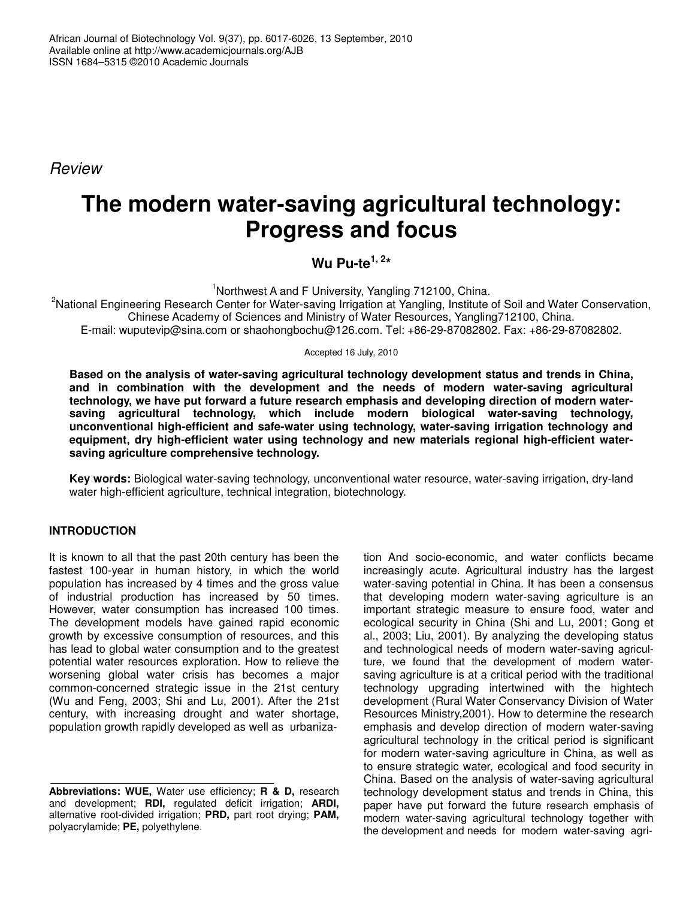*Review*

# **The modern water-saving agricultural technology: Progress and focus**

**Wu Pu-te 1, 2 \***

<sup>1</sup>Northwest A and F University, Yangling 712100, China.

<sup>2</sup>National Engineering Research Center for Water-saving Irrigation at Yangling, Institute of Soil and Water Conservation, Chinese Academy of Sciences and Ministry of Water Resources, Yangling712100, China. E-mail: wuputevip@sina.com or shaohongbochu@126.com. Tel: +86-29-87082802. Fax: +86-29-87082802.

Accepted 16 July, 2010

**Based on the analysis of water-saving agricultural technology development status and trends in China, and in combination with the development and the needs of modern water-saving agricultural technology, we have put forward a future research emphasis and developing direction of modern watersaving agricultural technology, which include modern biological water-saving technology, unconventional high-efficient and safe-water using technology, water-saving irrigation technology and equipment, dry high-efficient water using technology and new materials regional high-efficient watersaving agriculture comprehensive technology.**

**Key words:** Biological water-saving technology, unconventional water resource, water-saving irrigation, dry-land water high-efficient agriculture, technical integration, biotechnology.

## **INTRODUCTION**

It is known to all that the past 20th century has been the fastest 100-year in human history, in which the world population has increased by 4 times and the gross value of industrial production has increased by 50 times. However, water consumption has increased 100 times. The development models have gained rapid economic growth by excessive consumption of resources, and this has lead to global water consumption and to the greatest potential water resources exploration. How to relieve the worsening global water crisis has becomes a major common-concerned strategic issue in the 21st century (Wu and Feng, 2003; Shi and Lu, 2001). After the 21st century, with increasing drought and water shortage, population growth rapidly developed as well as urbanization And socio-economic, and water conflicts became increasingly acute. Agricultural industry has the largest water-saving potential in China. It has been a consensus that developing modern water-saving agriculture is an important strategic measure to ensure food, water and ecological security in China (Shi and Lu, 2001; Gong et al., 2003; Liu, 2001). By analyzing the developing status and technological needs of modern water-saving agriculture, we found that the development of modern watersaving agriculture is at a critical period with the traditional technology upgrading intertwined with the hightech development (Rural Water Conservancy Division of Water Resources Ministry,2001). How to determine the research emphasis and develop direction of modern water-saving agricultural technology in the critical period is significant for modern water-saving agriculture in China, as well as to ensure strategic water, ecological and food security in China. Based on the analysis of water-saving agricultural technology development status and trends in China, this paper have put forward the future research emphasis of modern water-saving agricultural technology together with the development and needs for modern water-saving agri-

**Abbreviations: WUE,** Water use efficiency; **R & D,** research and development; **RDI,** regulated deficit irrigation; **ARDI,** alternative root-divided irrigation; **PRD,** part root drying; **PAM,** polyacrylamide; **PE,** polyethylene.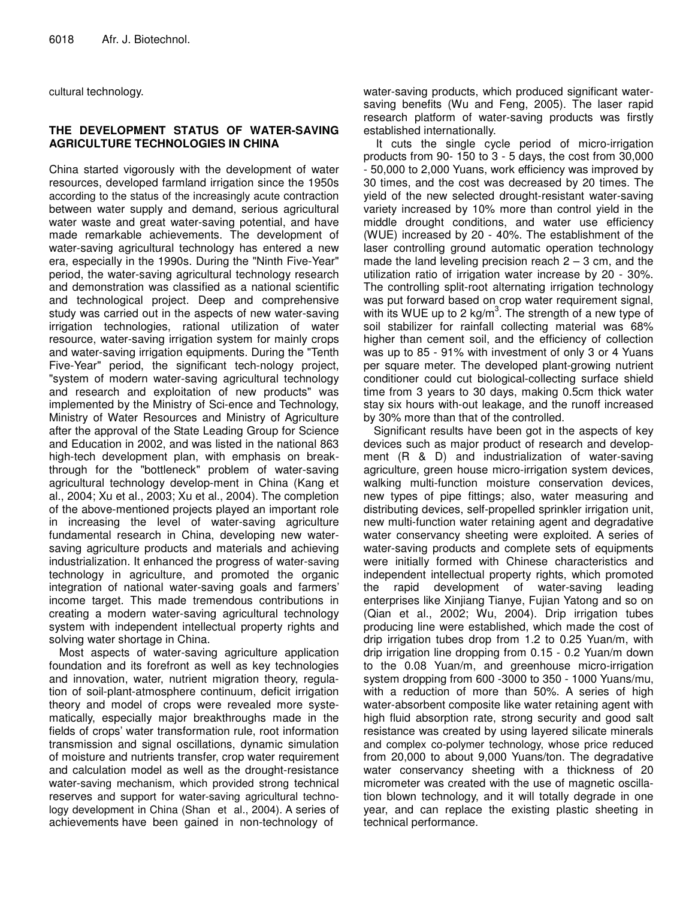cultural technology.

### **THE DEVELOPMENT STATUS OF WATER-SAVING AGRICULTURE TECHNOLOGIES IN CHINA**

China started vigorously with the development of water resources, developed farmland irrigation since the 1950s according to the status of the increasingly acute contraction between water supply and demand, serious agricultural water waste and great water-saving potential, and have made remarkable achievements. The development of water-saving agricultural technology has entered a new era, especially in the 1990s. During the "Ninth Five-Year" period, the water-saving agricultural technology research and demonstration was classified as a national scientific and technological project. Deep and comprehensive study was carried out in the aspects of new water-saving irrigation technologies, rational utilization of water resource, water-saving irrigation system for mainly crops and water-saving irrigation equipments. During the "Tenth Five-Year" period, the significant tech-nology project, "system of modern water-saving agricultural technology and research and exploitation of new products" was implemented by the Ministry of Sci-ence and Technology, Ministry of Water Resources and Ministry of Agriculture after the approval of the State Leading Group for Science and Education in 2002, and was listed in the national 863 high-tech development plan, with emphasis on breakthrough for the "bottleneck" problem of water-saving agricultural technology develop-ment in China (Kang et al., 2004; Xu et al., 2003; Xu et al., 2004). The completion of the above-mentioned projects played an important role in increasing the level of water-saving agriculture fundamental research in China, developing new watersaving agriculture products and materials and achieving industrialization. It enhanced the progress of water-saving technology in agriculture, and promoted the organic integration of national water-saving goals and farmers' income target. This made tremendous contributions in creating a modern water-saving agricultural technology system with independent intellectual property rights and solving water shortage in China.

Most aspects of water-saving agriculture application foundation and its forefront as well as key technologies and innovation, water, nutrient migration theory, regulation of soil-plant-atmosphere continuum, deficit irrigation theory and model of crops were revealed more systematically, especially major breakthroughs made in the fields of crops' water transformation rule, root information transmission and signal oscillations, dynamic simulation of moisture and nutrients transfer, crop water requirement and calculation model as well as the drought-resistance water-saving mechanism, which provided strong technical reserves and support for water-saving agricultural technology development in China (Shan et al., 2004). A series of achievements have been gained in non-technology of

water-saving products, which produced significant watersaving benefits (Wu and Feng, 2005). The laser rapid research platform of water-saving products was firstly established internationally.

It cuts the single cycle period of micro-irrigation products from 90- 150 to 3 - 5 days, the cost from 30,000 - 50,000 to 2,000 Yuans, work efficiency was improved by 30 times, and the cost was decreased by 20 times. The yield of the new selected drought-resistant water-saving variety increased by 10% more than control yield in the middle drought conditions, and water use efficiency (WUE) increased by 20 - 40%. The establishment of the laser controlling ground automatic operation technology made the land leveling precision reach  $2 - 3$  cm, and the utilization ratio of irrigation water increase by 20 - 30%. The controlling split-root alternating irrigation technology was put forward based on crop water requirement signal, with its WUE up to 2 kg/m<sup>3</sup>. The strength of a new type of soil stabilizer for rainfall collecting material was 68% higher than cement soil, and the efficiency of collection was up to 85 - 91% with investment of only 3 or 4 Yuans per square meter. The developed plant-growing nutrient conditioner could cut biological-collecting surface shield time from 3 years to 30 days, making 0.5cm thick water stay six hours with-out leakage, and the runoff increased by 30% more than that of the controlled.

Significant results have been got in the aspects of key devices such as major product of research and development (R & D) and industrialization of water-saving agriculture, green house micro-irrigation system devices, walking multi-function moisture conservation devices, new types of pipe fittings; also, water measuring and distributing devices, self-propelled sprinkler irrigation unit, new multi-function water retaining agent and degradative water conservancy sheeting were exploited. A series of water-saving products and complete sets of equipments were initially formed with Chinese characteristics and independent intellectual property rights, which promoted the rapid development of water-saving leading enterprises like Xinjiang Tianye, Fujian Yatong and so on (Qian et al., 2002; Wu, 2004). Drip irrigation tubes producing line were established, which made the cost of drip irrigation tubes drop from 1.2 to 0.25 Yuan/m, with drip irrigation line dropping from 0.15 - 0.2 Yuan/m down to the 0.08 Yuan/m, and greenhouse micro-irrigation system dropping from 600 -3000 to 350 - 1000 Yuans/mu, with a reduction of more than 50%. A series of high water-absorbent composite like water retaining agent with high fluid absorption rate, strong security and good salt resistance was created by using layered silicate minerals and complex co-polymer technology, whose price reduced from 20,000 to about 9,000 Yuans/ton. The degradative water conservancy sheeting with a thickness of 20 micrometer was created with the use of magnetic oscillation blown technology, and it will totally degrade in one year, and can replace the existing plastic sheeting in technical performance.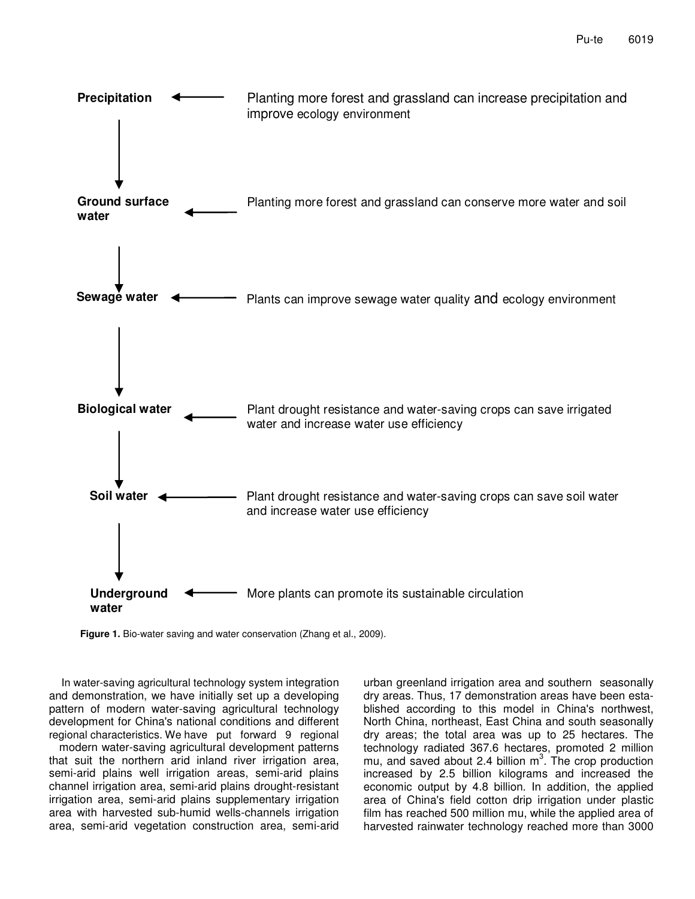

**Figure 1.** Bio-water saving and water conservation (Zhang et al., 2009).

In water-saving agricultural technology system integration and demonstration, we have initially set up a developing pattern of modern water-saving agricultural technology development for China's national conditions and different regional characteristics. We have put forward 9 regional modern water-saving agricultural development patterns that suit the northern arid inland river irrigation area, semi-arid plains well irrigation areas, semi-arid plains channel irrigation area, semi-arid plains drought-resistant irrigation area, semi-arid plains supplementary irrigation area with harvested sub-humid wells-channels irrigation area, semi-arid vegetation construction area, semi-arid

urban greenland irrigation area and southern seasonally dry areas. Thus, 17 demonstration areas have been established according to this model in China's northwest, North China, northeast, East China and south seasonally dry areas; the total area was up to 25 hectares. The technology radiated 367.6 hectares, promoted 2 million mu, and saved about 2.4 billion  $m^3$ . The crop production increased by 2.5 billion kilograms and increased the economic output by 4.8 billion. In addition, the applied area of China's field cotton drip irrigation under plastic film has reached 500 million mu, while the applied area of harvested rainwater technology reached more than 3000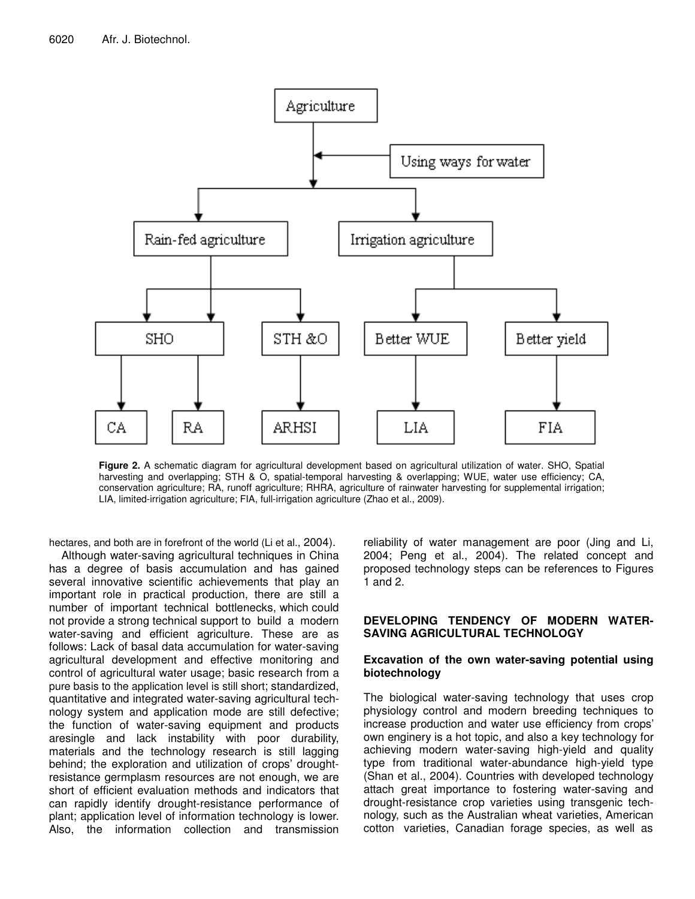

**Figure 2.** A schematic diagram for agricultural development based on agricultural utilization of water. SHO, Spatial harvesting and overlapping; STH & O, spatial-temporal harvesting & overlapping; WUE, water use efficiency; CA, conservation agriculture; RA, runoff agriculture; RHRA, agriculture of rainwater harvesting for supplemental irrigation; LIA, limited-irrigation agriculture; FIA, full-irrigation agriculture (Zhao et al., 2009).

hectares, and both are in forefront of the world (Li et al., 2004).

Although water-saving agricultural techniques in China has a degree of basis accumulation and has gained several innovative scientific achievements that play an important role in practical production, there are still a number of important technical bottlenecks, which could not provide a strong technical support to build a modern water-saving and efficient agriculture. These are as follows: Lack of basal data accumulation for water-saving agricultural development and effective monitoring and control of agricultural water usage; basic research from a pure basis to the application level is still short; standardized, quantitative and integrated water-saving agricultural technology system and application mode are still defective; the function of water-saving equipment and products aresingle and lack instability with poor durability, materials and the technology research is still lagging behind; the exploration and utilization of crops' droughtresistance germplasm resources are not enough, we are short of efficient evaluation methods and indicators that can rapidly identify drought-resistance performance of plant; application level of information technology is lower. Also, the information collection and transmission reliability of water management are poor (Jing and Li, 2004; Peng et al., 2004). The related concept and proposed technology steps can be references to Figures 1 and 2.

#### **DEVELOPING TENDENCY OF MODERN WATER-SAVING AGRICULTURAL TECHNOLOGY**

#### **Excavation of the own water-saving potential using biotechnology**

The biological water-saving technology that uses crop physiology control and modern breeding techniques to increase production and water use efficiency from crops' own enginery is a hot topic, and also a key technology for achieving modern water-saving high-yield and quality type from traditional water-abundance high-yield type (Shan et al., 2004). Countries with developed technology attach great importance to fostering water-saving and drought-resistance crop varieties using transgenic technology, such as the Australian wheat varieties, American cotton varieties, Canadian forage species, as well as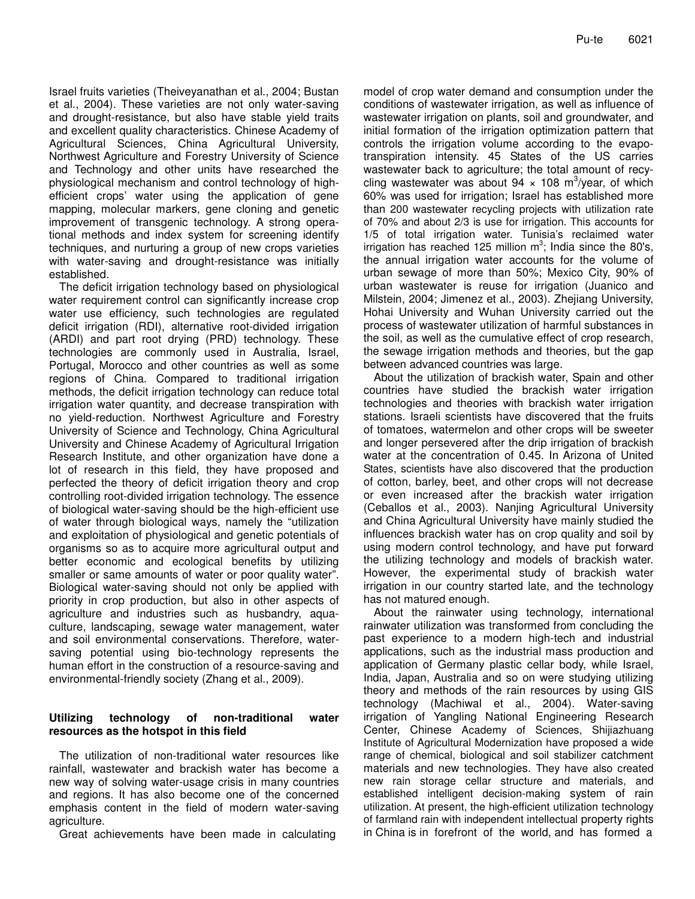Israel fruits varieties (Theiveyanathan et al., 2004; Bustan et al., 2004). These varieties are not only water-saving and drought-resistance, but also have stable yield traits and excellent quality characteristics. Chinese Academy of Agricultural Sciences, China Agricultural University, Northwest Agriculture and Forestry University of Science and Technology and other units have researched the physiological mechanism and control technology of highefficient crops' water using the application of gene mapping, molecular markers, gene cloning and genetic improvement of transgenic technology. A strong operational methods and index system for screening identify techniques, and nurturing a group of new crops varieties with water-saving and drought-resistance was initially established.

The deficit irrigation technology based on physiological water requirement control can significantly increase crop water use efficiency, such technologies are regulated deficit irrigation (RDI), alternative root-divided irrigation (ARDI) and part root drying (PRD) technology. These technologies are commonly used in Australia, Israel, Portugal, Morocco and other countries as well as some regions of China. Compared to traditional irrigation methods, the deficit irrigation technology can reduce total irrigation water quantity, and decrease transpiration with no yield-reduction. Northwest Agriculture and Forestry University of Science and Technology, China Agricultural University and Chinese Academy of Agricultural Irrigation Research Institute, and other organization have done a lot of research in this field, they have proposed and perfected the theory of deficit irrigation theory and crop controlling root-divided irrigation technology. The essence of biological water-saving should be the high-efficient use of water through biological ways, namely the "utilization and exploitation of physiological and genetic potentials of organisms so as to acquire more agricultural output and better economic and ecological benefits by utilizing smaller or same amounts of water or poor quality water". Biological water-saving should not only be applied with priority in crop production, but also in other aspects of agriculture and industries such as husbandry, aquaculture, landscaping, sewage water management, water and soil environmental conservations. Therefore, watersaving potential using bio-technology represents the human effort in the construction of a resource-saving and environmental-friendly society (Zhang et al., 2009).

## **Utilizing technology of non-traditional water resources as the hotspot in this field**

The utilization of non-traditional water resources like rainfall, wastewater and brackish water has become a new way of solving water-usage crisis in many countries and regions. It has also become one of the concerned emphasis content in the field of modern water-saving agriculture.

Great achievements have been made in calculating

model of crop water demand and consumption under the conditions of wastewater irrigation, as well as influence of wastewater irrigation on plants, soil and groundwater, and initial formation of the irrigation optimization pattern that controls the irrigation volume according to the evapotranspiration intensity. 45 States of the US carries wastewater back to agriculture; the total amount of recycling wastewater was about 94  $\times$  108 m<sup>3</sup>/year, of which 60% was used for irrigation; Israel has established more than 200 wastewater recycling projects with utilization rate of 70% and about 2/3 is use for irrigation. This accounts for 1/5 of total irrigation water. Tunisia's reclaimed water irrigation has reached 125 million  $m^3$ ; India since the 80's, the annual irrigation water accounts for the volume of urban sewage of more than 50%; Mexico City, 90% of urban wastewater is reuse for irrigation (Juanico and Milstein, 2004; Jimenez et al., 2003). Zhejiang University, Hohai University and Wuhan University carried out the process of wastewater utilization of harmful substances in the soil, as well as the cumulative effect of crop research, the sewage irrigation methods and theories, but the gap between advanced countries was large.

About the utilization of brackish water, Spain and other countries have studied the brackish water irrigation technologies and theories with brackish water irrigation stations. Israeli scientists have discovered that the fruits of tomatoes, watermelon and other crops will be sweeter and longer persevered after the drip irrigation of brackish water at the concentration of 0.45. In Arizona of United States, scientists have also discovered that the production of cotton, barley, beet, and other crops will not decrease or even increased after the brackish water irrigation (Ceballos et al., 2003). Nanjing Agricultural University and China Agricultural University have mainly studied the influences brackish water has on crop quality and soil by using modern control technology, and have put forward the utilizing technology and models of brackish water. However, the experimental study of brackish water irrigation in our country started late, and the technology has not matured enough.

About the rainwater using technology, international rainwater utilization was transformed from concluding the past experience to a modern high-tech and industrial applications, such as the industrial mass production and application of Germany plastic cellar body, while Israel, India, Japan, Australia and so on were studying utilizing theory and methods of the rain resources by using GIS technology (Machiwal et al., 2004). Water-saving irrigation of Yangling National Engineering Research Center, Chinese Academy of Sciences, Shijiazhuang Institute of Agricultural Modernization have proposed a wide range of chemical, biological and soil stabilizer catchment materials and new technologies. They have also created new rain storage cellar structure and materials, and established intelligent decision-making system of rain utilization. At present, the high-efficient utilization technology of farmland rain with independent intellectual property rights in China is in forefront of the world, and has formed a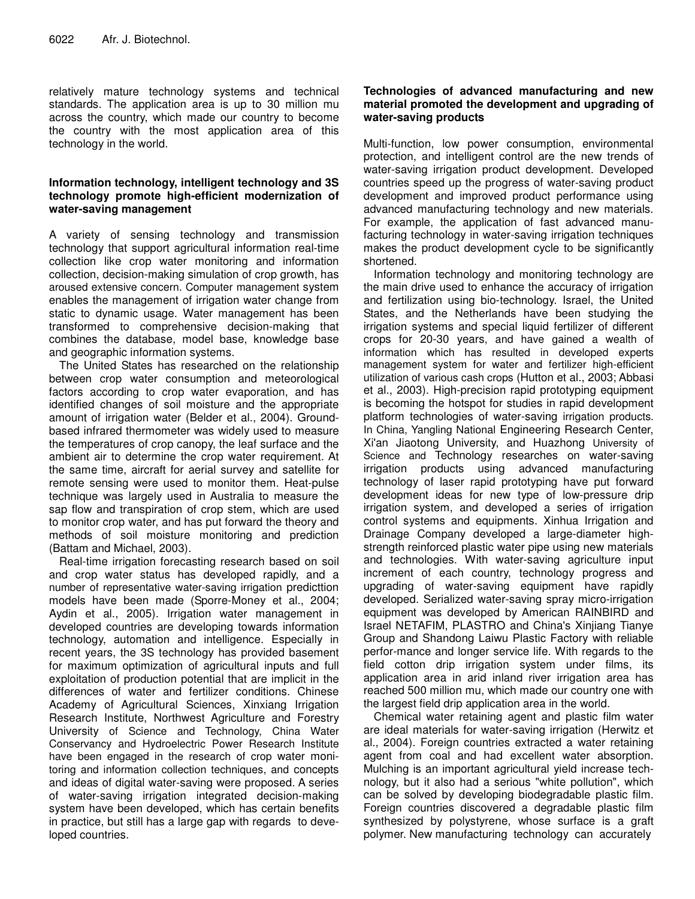relatively mature technology systems and technical standards. The application area is up to 30 million mu across the country, which made our country to become the country with the most application area of this technology in the world.

### **Information technology, intelligent technology and 3S technology promote high-efficient modernization of water-saving management**

A variety of sensing technology and transmission technology that support agricultural information real-time collection like crop water monitoring and information collection, decision-making simulation of crop growth, has aroused extensive concern. Computer management system enables the management of irrigation water change from static to dynamic usage. Water management has been transformed to comprehensive decision-making that combines the database, model base, knowledge base and geographic information systems.

The United States has researched on the relationship between crop water consumption and meteorological factors according to crop water evaporation, and has identified changes of soil moisture and the appropriate amount of irrigation water (Belder et al., 2004). Groundbased infrared thermometer was widely used to measure the temperatures of crop canopy, the leaf surface and the ambient air to determine the crop water requirement. At the same time, aircraft for aerial survey and satellite for remote sensing were used to monitor them. Heat-pulse technique was largely used in Australia to measure the sap flow and transpiration of crop stem, which are used to monitor crop water, and has put forward the theory and methods of soil moisture monitoring and prediction (Battam and Michael, 2003).

Real-time irrigation forecasting research based on soil and crop water status has developed rapidly, and a number of representative water-saving irrigation predicttion models have been made (Sporre-Money et al., 2004; Aydin et al., 2005). Irrigation water management in developed countries are developing towards information technology, automation and intelligence. Especially in recent years, the 3S technology has provided basement for maximum optimization of agricultural inputs and full exploitation of production potential that are implicit in the differences of water and fertilizer conditions. Chinese Academy of Agricultural Sciences, Xinxiang Irrigation Research Institute, Northwest Agriculture and Forestry University of Science and Technology, China Water Conservancy and Hydroelectric Power Research Institute have been engaged in the research of crop water monitoring and information collection techniques, and concepts and ideas of digital water-saving were proposed. A series of water-saving irrigation integrated decision-making system have been developed, which has certain benefits in practice, but still has a large gap with regards to developed countries.

### **Technologies of advanced manufacturing and new material promoted the development and upgrading of water-saving products**

Multi-function, low power consumption, environmental protection, and intelligent control are the new trends of water-saving irrigation product development. Developed countries speed up the progress of water-saving product development and improved product performance using advanced manufacturing technology and new materials. For example, the application of fast advanced manufacturing technology in water-saving irrigation techniques makes the product development cycle to be significantly shortened.

Information technology and monitoring technology are the main drive used to enhance the accuracy of irrigation and fertilization using bio-technology. Israel, the United States, and the Netherlands have been studying the irrigation systems and special liquid fertilizer of different crops for 20-30 years, and have gained a wealth of information which has resulted in developed experts management system for water and fertilizer high-efficient utilization of various cash crops (Hutton et al., 2003; Abbasi et al., 2003). High-precision rapid prototyping equipment is becoming the hotspot for studies in rapid development platform technologies of water-saving irrigation products. In China, Yangling National Engineering Research Center, Xi'an Jiaotong University, and Huazhong University of Science and Technology researches on water-saving irrigation products using advanced manufacturing technology of laser rapid prototyping have put forward development ideas for new type of low-pressure drip irrigation system, and developed a series of irrigation control systems and equipments. Xinhua Irrigation and Drainage Company developed a large-diameter highstrength reinforced plastic water pipe using new materials and technologies. With water-saving agriculture input increment of each country, technology progress and upgrading of water-saving equipment have rapidly developed. Serialized water-saving spray micro-irrigation equipment was developed by American RAINBIRD and Israel NETAFIM, PLASTRO and China's Xinjiang Tianye Group and Shandong Laiwu Plastic Factory with reliable perfor-mance and longer service life. With regards to the field cotton drip irrigation system under films, its application area in arid inland river irrigation area has reached 500 million mu, which made our country one with the largest field drip application area in the world.

Chemical water retaining agent and plastic film water are ideal materials for water-saving irrigation (Herwitz et al., 2004). Foreign countries extracted a water retaining agent from coal and had excellent water absorption. Mulching is an important agricultural yield increase technology, but it also had a serious "white pollution", which can be solved by developing biodegradable plastic film. Foreign countries discovered a degradable plastic film synthesized by polystyrene, whose surface is a graft polymer. New manufacturing technology can accurately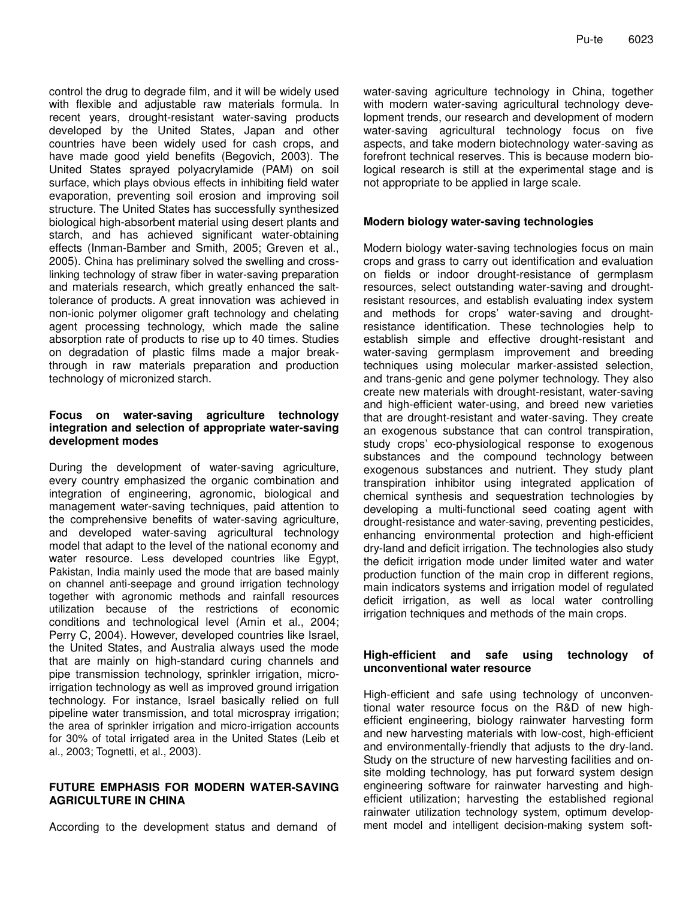control the drug to degrade film, and it will be widely used with flexible and adjustable raw materials formula. In recent years, drought-resistant water-saving products developed by the United States, Japan and other countries have been widely used for cash crops, and have made good yield benefits (Begovich, 2003). The United States sprayed polyacrylamide (PAM) on soil surface, which plays obvious effects in inhibiting field water evaporation, preventing soil erosion and improving soil structure. The United States has successfully synthesized biological high-absorbent material using desert plants and starch, and has achieved significant water-obtaining effects (Inman-Bamber and Smith, 2005; Greven et al., 2005). China has preliminary solved the swelling and crosslinking technology of straw fiber in water-saving preparation and materials research, which greatly enhanced the salttolerance of products. A great innovation was achieved in non-ionic polymer oligomer graft technology and chelating agent processing technology, which made the saline absorption rate of products to rise up to 40 times. Studies on degradation of plastic films made a major breakthrough in raw materials preparation and production technology of micronized starch.

#### **Focus on water-saving agriculture technology integration and selection of appropriate water-saving development modes**

During the development of water-saving agriculture, every country emphasized the organic combination and integration of engineering, agronomic, biological and management water-saving techniques, paid attention to the comprehensive benefits of water-saving agriculture, and developed water-saving agricultural technology model that adapt to the level of the national economy and water resource. Less developed countries like Egypt, Pakistan, India mainly used the mode that are based mainly on channel anti-seepage and ground irrigation technology together with agronomic methods and rainfall resources utilization because of the restrictions of economic conditions and technological level (Amin et al., 2004; Perry C, 2004). However, developed countries like Israel, the United States, and Australia always used the mode that are mainly on high-standard curing channels and pipe transmission technology, sprinkler irrigation, microirrigation technology as well as improved ground irrigation technology. For instance, Israel basically relied on full pipeline water transmission, and total microspray irrigation; the area of sprinkler irrigation and micro-irrigation accounts for 30% of total irrigated area in the United States (Leib et al., 2003; Tognetti, et al., 2003).

#### **FUTURE EMPHASIS FOR MODERN WATER-SAVING AGRICULTURE IN CHINA**

According to the development status and demand of

water-saving agriculture technology in China, together with modern water-saving agricultural technology development trends, our research and development of modern water-saving agricultural technology focus on five aspects, and take modern biotechnology water-saving as forefront technical reserves. This is because modern biological research is still at the experimental stage and is not appropriate to be applied in large scale.

#### **Modern biology water-saving technologies**

Modern biology water-saving technologies focus on main crops and grass to carry out identification and evaluation on fields or indoor drought-resistance of germplasm resources, select outstanding water-saving and droughtresistant resources, and establish evaluating index system and methods for crops' water-saving and droughtresistance identification. These technologies help to establish simple and effective drought-resistant and water-saving germplasm improvement and breeding techniques using molecular marker-assisted selection, and trans-genic and gene polymer technology. They also create new materials with drought-resistant, water-saving and high-efficient water-using, and breed new varieties that are drought-resistant and water-saving. They create an exogenous substance that can control transpiration, study crops' eco-physiological response to exogenous substances and the compound technology between exogenous substances and nutrient. They study plant transpiration inhibitor using integrated application of chemical synthesis and sequestration technologies by developing a multi-functional seed coating agent with drought-resistance and water-saving, preventing pesticides, enhancing environmental protection and high-efficient dry-land and deficit irrigation. The technologies also study the deficit irrigation mode under limited water and water production function of the main crop in different regions, main indicators systems and irrigation model of regulated deficit irrigation, as well as local water controlling irrigation techniques and methods of the main crops.

#### **High-efficient and safe using technology of unconventional water resource**

High-efficient and safe using technology of unconventional water resource focus on the R&D of new highefficient engineering, biology rainwater harvesting form and new harvesting materials with low-cost, high-efficient and environmentally-friendly that adjusts to the dry-land. Study on the structure of new harvesting facilities and onsite molding technology, has put forward system design engineering software for rainwater harvesting and highefficient utilization; harvesting the established regional rainwater utilization technology system, optimum development model and intelligent decision-making system soft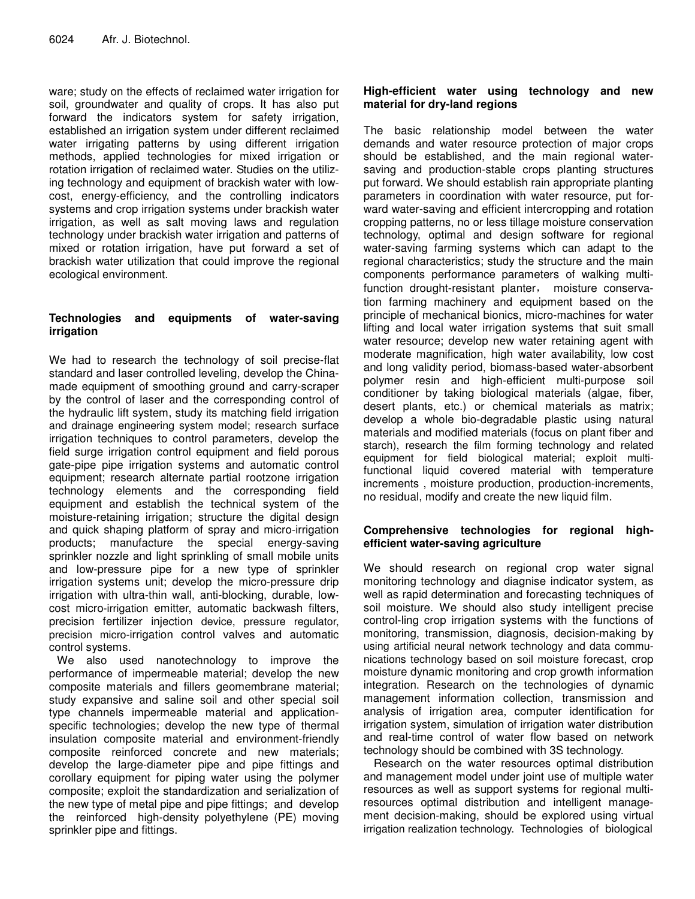ware; study on the effects of reclaimed water irrigation for soil, groundwater and quality of crops. It has also put forward the indicators system for safety irrigation, established an irrigation system under different reclaimed water irrigating patterns by using different irrigation methods, applied technologies for mixed irrigation or rotation irrigation of reclaimed water. Studies on the utilizing technology and equipment of brackish water with lowcost, energy-efficiency, and the controlling indicators systems and crop irrigation systems under brackish water irrigation, as well as salt moving laws and regulation technology under brackish water irrigation and patterns of mixed or rotation irrigation, have put forward a set of brackish water utilization that could improve the regional ecological environment.

## **Technologies and equipments of water-saving irrigation**

We had to research the technology of soil precise-flat standard and laser controlled leveling, develop the Chinamade equipment of smoothing ground and carry-scraper by the control of laser and the corresponding control of the hydraulic lift system, study its matching field irrigation and drainage engineering system model; research surface irrigation techniques to control parameters, develop the field surge irrigation control equipment and field porous gate-pipe pipe irrigation systems and automatic control equipment; research alternate partial rootzone irrigation technology elements and the corresponding field equipment and establish the technical system of the moisture-retaining irrigation; structure the digital design and quick shaping platform of spray and micro-irrigation products; manufacture the special energy-saving sprinkler nozzle and light sprinkling of small mobile units and low-pressure pipe for a new type of sprinkler irrigation systems unit; develop the micro-pressure drip irrigation with ultra-thin wall, anti-blocking, durable, lowcost micro-irrigation emitter, automatic backwash filters, precision fertilizer injection device, pressure regulator, precision micro-irrigation control valves and automatic control systems.

We also used nanotechnology to improve the performance of impermeable material; develop the new composite materials and fillers geomembrane material; study expansive and saline soil and other special soil type channels impermeable material and applicationspecific technologies; develop the new type of thermal insulation composite material and environment-friendly composite reinforced concrete and new materials; develop the large-diameter pipe and pipe fittings and corollary equipment for piping water using the polymer composite; exploit the standardization and serialization of the new type of metal pipe and pipe fittings; and develop the reinforced high-density polyethylene (PE) moving sprinkler pipe and fittings.

#### **High-efficient water using technology and new material for dry-land regions**

The basic relationship model between the water demands and water resource protection of major crops should be established, and the main regional watersaving and production-stable crops planting structures put forward. We should establish rain appropriate planting parameters in coordination with water resource, put forward water-saving and efficient intercropping and rotation cropping patterns, no or less tillage moisture conservation technology, optimal and design software for regional water-saving farming systems which can adapt to the regional characteristics; study the structure and the main components performance parameters of walking multifunction drought-resistant planter, moisture conservation farming machinery and equipment based on the principle of mechanical bionics, micro-machines for water lifting and local water irrigation systems that suit small water resource; develop new water retaining agent with moderate magnification, high water availability, low cost and long validity period, biomass-based water-absorbent polymer resin and high-efficient multi-purpose soil conditioner by taking biological materials (algae, fiber, desert plants, etc.) or chemical materials as matrix; develop a whole bio-degradable plastic using natural materials and modified materials (focus on plant fiber and starch), research the film forming technology and related equipment for field biological material; exploit multifunctional liquid covered material with temperature increments , moisture production, production-increments, no residual, modify and create the new liquid film.

## **Comprehensive technologies for regional highefficient water-saving agriculture**

We should research on regional crop water signal monitoring technology and diagnise indicator system, as well as rapid determination and forecasting techniques of soil moisture. We should also study intelligent precise control-ling crop irrigation systems with the functions of monitoring, transmission, diagnosis, decision-making by using artificial neural network technology and data communications technology based on soil moisture forecast, crop moisture dynamic monitoring and crop growth information integration. Research on the technologies of dynamic management information collection, transmission and analysis of irrigation area, computer identification for irrigation system, simulation of irrigation water distribution and real-time control of water flow based on network technology should be combined with 3S technology.

Research on the water resources optimal distribution and management model under joint use of multiple water resources as well as support systems for regional multiresources optimal distribution and intelligent management decision-making, should be explored using virtual irrigation realization technology. Technologies of biological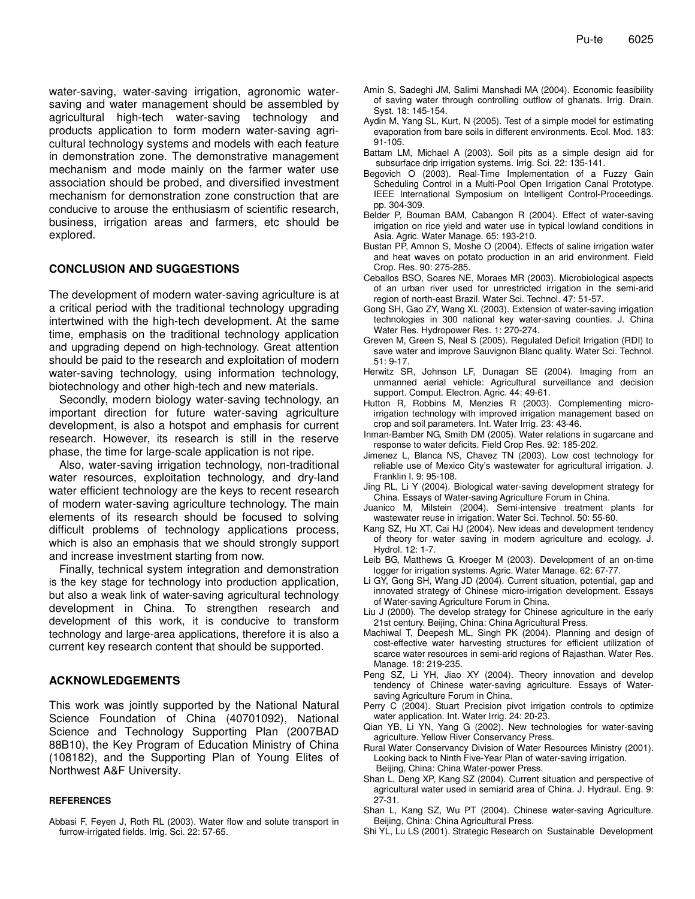water-saving, water-saving irrigation, agronomic watersaving and water management should be assembled by agricultural high-tech water-saving technology and products application to form modern water-saving agricultural technology systems and models with each feature in demonstration zone. The demonstrative management mechanism and mode mainly on the farmer water use association should be probed, and diversified investment mechanism for demonstration zone construction that are conducive to arouse the enthusiasm of scientific research, business, irrigation areas and farmers, etc should be explored.

#### **CONCLUSION AND SUGGESTIONS**

The development of modern water-saving agriculture is at a critical period with the traditional technology upgrading intertwined with the high-tech development. At the same time, emphasis on the traditional technology application and upgrading depend on high-technology. Great attention should be paid to the research and exploitation of modern water-saving technology, using information technology, biotechnology and other high-tech and new materials.

Secondly, modern biology water-saving technology, an important direction for future water-saving agriculture development, is also a hotspot and emphasis for current research. However, its research is still in the reserve phase, the time for large-scale application is not ripe.

Also, water-saving irrigation technology, non-traditional water resources, exploitation technology, and dry-land water efficient technology are the keys to recent research of modern water-saving agriculture technology. The main elements of its research should be focused to solving difficult problems of technology applications process, which is also an emphasis that we should strongly support and increase investment starting from now.

Finally, technical system integration and demonstration is the key stage for technology into production application, but also a weak link of water-saving agricultural technology development in China. To strengthen research and development of this work, it is conducive to transform technology and large-area applications, therefore it is also a current key research content that should be supported.

#### **ACKNOWLEDGEMENTS**

This work was jointly supported by the National Natural Science Foundation of China (40701092), National Science and Technology Supporting Plan (2007BAD 88B10), the Key Program of Education Ministry of China (108182), and the Supporting Plan of Young Elites of Northwest A&F University.

#### **REFERENCES**

Abbasi F, Feyen J, Roth RL (2003)*.* Water flow and solute transport in furrow-irrigated fields. Irrig. Sci. 22: 57-65.

- Amin S, Sadeghi JM, Salimi Manshadi MA (2004). Economic feasibility of saving water through controlling outflow of ghanats. Irrig. Drain. Syst. 18: 145-154.
- Aydin M, Yang SL, Kurt, N (2005). Test of a simple model for estimating evaporation from bare soils in different environments. Ecol. Mod. 183: 91-105.
- Battam LM, Michael A (2003). Soil pits as a simple design aid for subsurface drip irrigation systems. Irrig. Sci. 22: 135-141.
- Begovich O (2003). Real-Time Implementation of a Fuzzy Gain Scheduling Control in a Multi-Pool Open Irrigation Canal Prototype. IEEE International Symposium on Intelligent Control-Proceedings. pp. 304-309.
- Belder P, Bouman BAM, Cabangon R (2004). Effect of water-saving irrigation on rice yield and water use in typical lowland conditions in Asia. Agric. Water Manage. 65: 193-210.
- Bustan PP, Amnon S, Moshe O (2004). Effects of saline irrigation water and heat waves on potato production in an arid environment. Field Crop. Res. 90: 275-285.
- Ceballos BSO, Soares NE, Moraes MR (2003). Microbiological aspects of an urban river used for unrestricted irrigation in the semi-arid region of north-east Brazil. Water Sci. Technol. 47: 51-57.
- Gong SH, Gao ZY, Wang XL (2003). Extension of water-saving irrigation technologies in 300 national key water-saving counties. J. China Water Res. Hydropower Res. 1: 270-274.
- Greven M, Green S, Neal S (2005). Regulated Deficit Irrigation (RDI) to save water and improve Sauvignon Blanc quality. Water Sci. Technol. 51: 9-17.
- Herwitz SR, Johnson LF, Dunagan SE (2004). Imaging from an unmanned aerial vehicle: Agricultural surveillance and decision support. Comput. Electron. Agric. 44: 49-61.
- Hutton R, Robbins M, Menzies R (2003)*.* Complementing microirrigation technology with improved irrigation management based on crop and soil parameters. Int. Water Irrig. 23: 43-46.
- Inman-Bamber NG, Smith DM (2005). Water relations in sugarcane and response to water deficits. Field Crop Res. 92: 185-202.
- Jimenez L, Blanca NS, Chavez TN (2003). Low cost technology for reliable use of Mexico City's wastewater for agricultural irrigation. J. Franklin I. 9: 95-108.
- Jing RL, Li Y (2004). Biological water-saving development strategy for China. Essays of Water-saving Agriculture Forum in China.
- Juanico M, Milstein (2004). Semi-intensive treatment plants for wastewater reuse in irrigation. Water Sci. Technol. 50: 55-60.
- Kang SZ, Hu XT, Cai HJ (2004). New ideas and development tendency of theory for water saving in modern agriculture and ecology. J. Hydrol. 12: 1-7.
- Leib BG, Matthews G, Kroeger M (2003). Development of an on-time logger for irrigation systems. Agric. Water Manage. 62: 67-77.
- Li GY, Gong SH, Wang JD (2004). Current situation, potential, gap and innovated strategy of Chinese micro-irrigation development. Essays of Water-saving Agriculture Forum in China.
- Liu J (2000). The develop strategy for Chinese agriculture in the early 21st century. Beijing, China: China Agricultural Press.
- Machiwal T, Deepesh ML, Singh PK (2004). Planning and design of cost-effective water harvesting structures for efficient utilization of scarce water resources in semi-arid regions of Rajasthan. Water Res. Manage. 18: 219-235.
- Peng SZ, Li YH, Jiao XY (2004). Theory innovation and develop tendency of Chinese water-saving agriculture. Essays of Watersaving Agriculture Forum in China.
- Perry C (2004). Stuart Precision pivot irrigation controls to optimize water application. Int. Water Irrig. 24: 20-23.
- Qian YB, Li YN, Yang G (2002). New technologies for water-saving agriculture. Yellow River Conservancy Press.
- Rural Water Conservancy Division of Water Resources Ministry (2001). Looking back to Ninth Five-Year Plan of water-saving irrigation. Beijing, China: China Water-power Press.
- Shan L, Deng XP, Kang SZ (2004). Current situation and perspective of agricultural water used in semiarid area of China. J. Hydraul. Eng. 9: 27-31.
- Shan L, Kang SZ, Wu PT (2004). Chinese water-saving Agriculture. Beijing, China: China Agricultural Press.
- Shi YL, Lu LS (2001). Strategic Research on Sustainable Development